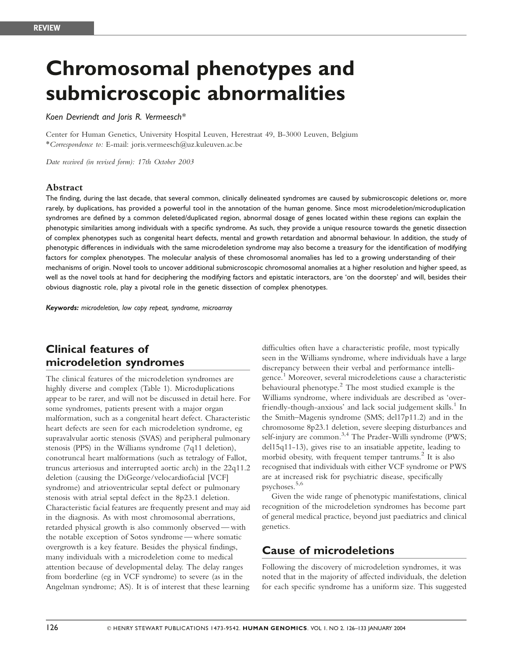# Chromosomal phenotypes and submicroscopic abnormalities

#### Koen Devriendt and Joris R. Vermeesch\*

Center for Human Genetics, University Hospital Leuven, Herestraat 49, B-3000 Leuven, Belgium \*Correspondence to: E-mail: joris.vermeesch@uz.kuleuven.ac.be

Date received (in revised form): 17th October 2003

#### Abstract

The finding, during the last decade, that several common, clinically delineated syndromes are caused by submicroscopic deletions or, more rarely, by duplications, has provided a powerful tool in the annotation of the human genome. Since most microdeletion/microduplication syndromes are defined by a common deleted/duplicated region, abnormal dosage of genes located within these regions can explain the phenotypic similarities among individuals with a specific syndrome. As such, they provide a unique resource towards the genetic dissection of complex phenotypes such as congenital heart defects, mental and growth retardation and abnormal behaviour. In addition, the study of phenotypic differences in individuals with the same microdeletion syndrome may also become a treasury for the identification of modifying factors for complex phenotypes. The molecular analysis of these chromosomal anomalies has led to a growing understanding of their mechanisms of origin. Novel tools to uncover additional submicroscopic chromosomal anomalies at a higher resolution and higher speed, as well as the novel tools at hand for deciphering the modifying factors and epistatic interactors, are 'on the doorstep' and will, besides their obvious diagnostic role, play a pivotal role in the genetic dissection of complex phenotypes.

Keywords: microdeletion, low copy repeat, syndrome, microarray

# Clinical features of microdeletion syndromes

The clinical features of the microdeletion syndromes are highly diverse and complex (Table 1). Microduplications appear to be rarer, and will not be discussed in detail here. For some syndromes, patients present with a major organ malformation, such as a congenital heart defect. Characteristic heart defects are seen for each microdeletion syndrome, eg supravalvular aortic stenosis (SVAS) and peripheral pulmonary stenosis (PPS) in the Williams syndrome (7q11 deletion), conotruncal heart malformations (such as tetralogy of Fallot, truncus arteriosus and interrupted aortic arch) in the 22q11.2 deletion (causing the DiGeorge/velocardiofacial [VCF] syndrome) and atrioventricular septal defect or pulmonary stenosis with atrial septal defect in the 8p23.1 deletion. Characteristic facial features are frequently present and may aid in the diagnosis. As with most chromosomal aberrations, retarded physical growth is also commonly observed — with the notable exception of Sotos syndrome — where somatic overgrowth is a key feature. Besides the physical findings, many individuals with a microdeletion come to medical attention because of developmental delay. The delay ranges from borderline (eg in VCF syndrome) to severe (as in the Angelman syndrome; AS). It is of interest that these learning

difficulties often have a characteristic profile, most typically seen in the Williams syndrome, where individuals have a large discrepancy between their verbal and performance intelligence.<sup>1</sup> Moreover, several microdeletions cause a characteristic behavioural phenotype. $2$  The most studied example is the Williams syndrome, where individuals are described as 'overfriendly-though-anxious' and lack social judgement skills.<sup>1</sup> In the Smith–Magenis syndrome (SMS; del17p11.2) and in the chromosome 8p23.1 deletion, severe sleeping disturbances and self-injury are common.<sup>3,4</sup> The Prader-Willi syndrome (PWS; del15q11-13), gives rise to an insatiable appetite, leading to morbid obesity, with frequent temper tantrums.<sup>2</sup> It is also recognised that individuals with either VCF syndrome or PWS are at increased risk for psychiatric disease, specifically psychoses.5,6

Given the wide range of phenotypic manifestations, clinical recognition of the microdeletion syndromes has become part of general medical practice, beyond just paediatrics and clinical genetics.

## Cause of microdeletions

Following the discovery of microdeletion syndromes, it was noted that in the majority of affected individuals, the deletion for each specific syndrome has a uniform size. This suggested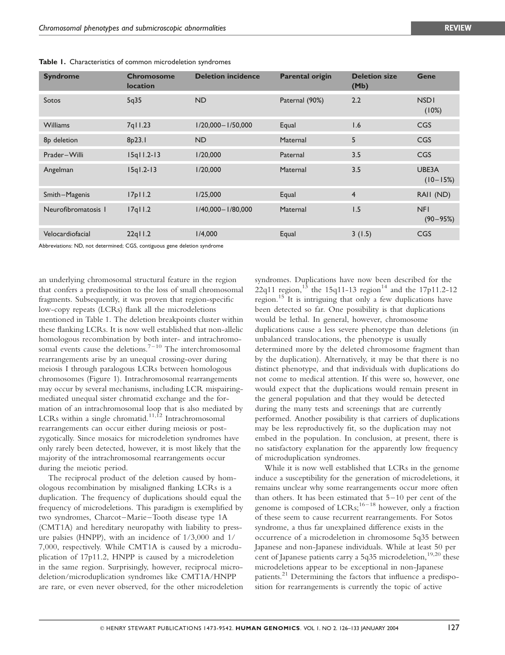| <b>Syndrome</b>     | <b>Chromosome</b><br><b>location</b> | <b>Deletion incidence</b> | <b>Parental origin</b> | <b>Deletion size</b><br>(Mb) | <b>Gene</b>                |
|---------------------|--------------------------------------|---------------------------|------------------------|------------------------------|----------------------------|
| Sotos               | 5q35                                 | <b>ND</b>                 | Paternal (90%)         | 2.2                          | <b>NSDI</b><br>(10%)       |
| <b>Williams</b>     | 7q11.23                              | $1/20,000 - 1/50,000$     | Equal                  | 1.6                          | CGS                        |
| 8p deletion         | 8p23.1                               | <b>ND</b>                 | Maternal               | 5                            | <b>CGS</b>                 |
| Prader-Willi        | $15q$ $11.2 - 13$                    | 1/20,000                  | Paternal               | 3.5                          | CGS                        |
| Angelman            | $15q1.2-13$                          | 1/20,000                  | Maternal               | 3.5                          | UBE3A<br>$(10 - 15%)$      |
| Smith-Magenis       | 17p11.2                              | 1/25,000                  | Equal                  | 4                            | RAII (ND)                  |
| Neurofibromatosis I | $17q$ $11.2$                         | $1/40,000 - 1/80,000$     | Maternal               | 1.5                          | <b>NFI</b><br>$(90 - 95%)$ |
| Velocardiofacial    | $22q$ ll.2                           | 1/4,000                   | Equal                  | 3(1.5)                       | CGS                        |

Table 1. Characteristics of common microdeletion syndromes

Abbreviations: ND, not determined; CGS, contiguous gene deletion syndrome

an underlying chromosomal structural feature in the region that confers a predisposition to the loss of small chromosomal fragments. Subsequently, it was proven that region-specific low-copy repeats (LCRs) flank all the microdeletions mentioned in Table 1. The deletion breakpoints cluster within these flanking LCRs. It is now well established that non-allelic homologous recombination by both inter- and intrachromosomal events cause the deletions.<sup> $7-10$ </sup> The interchromosomal rearrangements arise by an unequal crossing-over during meiosis I through paralogous LCRs between homologous chromosomes (Figure 1). Intrachromosomal rearrangements may occur by several mechanisms, including LCR mispairingmediated unequal sister chromatid exchange and the formation of an intrachromosomal loop that is also mediated by LCRs within a single chromatid.<sup>11,12</sup> Intrachromosomal rearrangements can occur either during meiosis or postzygotically. Since mosaics for microdeletion syndromes have only rarely been detected, however, it is most likely that the majority of the intrachromosomal rearrangements occur during the meiotic period.

The reciprocal product of the deletion caused by homologous recombination by misaligned flanking LCRs is a duplication. The frequency of duplications should equal the frequency of microdeletions. This paradigm is exemplified by two syndromes, Charcot–Marie–Tooth disease type 1A (CMT1A) and hereditary neuropathy with liability to pressure palsies (HNPP), with an incidence of 1/3,000 and 1/ 7,000, respectively. While CMT1A is caused by a microduplication of 17p11.2, HNPP is caused by a microdeletion in the same region. Surprisingly, however, reciprocal microdeletion/microduplication syndromes like CMT1A/HNPP are rare, or even never observed, for the other microdeletion syndromes. Duplications have now been described for the 22q11 region,<sup>13</sup> the 15q11-13 region<sup>14</sup> and the 17p11.2-12 region.<sup>15</sup> It is intriguing that only a few duplications have been detected so far. One possibility is that duplications would be lethal. In general, however, chromosome duplications cause a less severe phenotype than deletions (in unbalanced translocations, the phenotype is usually determined more by the deleted chromosome fragment than by the duplication). Alternatively, it may be that there is no distinct phenotype, and that individuals with duplications do not come to medical attention. If this were so, however, one would expect that the duplications would remain present in the general population and that they would be detected during the many tests and screenings that are currently performed. Another possibility is that carriers of duplications may be less reproductively fit, so the duplication may not embed in the population. In conclusion, at present, there is no satisfactory explanation for the apparently low frequency of microduplication syndromes.

While it is now well established that LCRs in the genome induce a susceptibility for the generation of microdeletions, it remains unclear why some rearrangements occur more often than others. It has been estimated that 5–10 per cent of the genome is composed of  $LCRs$ ;<sup>16–18</sup> however, only a fraction</sup> of these seem to cause recurrent rearrangements. For Sotos syndrome, a thus far unexplained difference exists in the occurrence of a microdeletion in chromosome 5q35 between Japanese and non-Japanese individuals. While at least 50 per cent of Japanese patients carry a 5q35 microdeletion.<sup>19,20</sup> these microdeletions appear to be exceptional in non-Japanese patients.<sup>21</sup> Determining the factors that influence a predisposition for rearrangements is currently the topic of active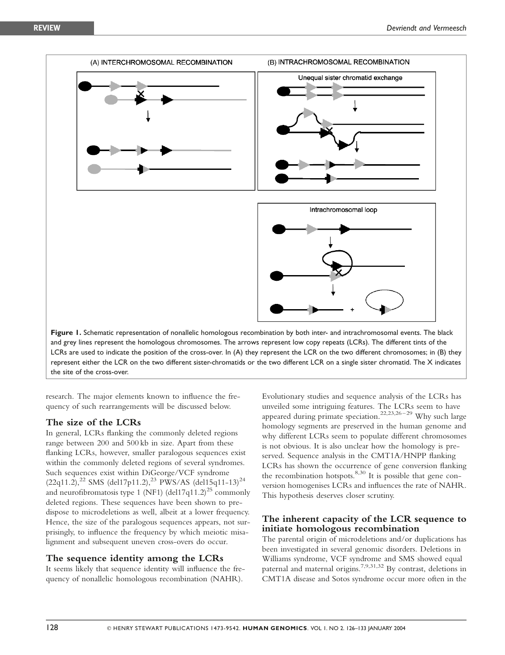

research. The major elements known to influence the frequency of such rearrangements will be discussed below.

#### The size of the LCRs

In general, LCRs flanking the commonly deleted regions range between 200 and 500 kb in size. Apart from these flanking LCRs, however, smaller paralogous sequences exist within the commonly deleted regions of several syndromes. Such sequences exist within DiGeorge/VCF syndrome  $(22q11.2),^{22}$  SMS (del17p11.2),<sup>23</sup> PWS/AS (del15q11-13)<sup>24</sup> and neurofibromatosis type 1 (NF1) (del17q11.2)<sup>25</sup> commonly deleted regions. These sequences have been shown to predispose to microdeletions as well, albeit at a lower frequency. Hence, the size of the paralogous sequences appears, not surprisingly, to influence the frequency by which meiotic misalignment and subsequent uneven cross-overs do occur.

#### The sequence identity among the LCRs

It seems likely that sequence identity will influence the frequency of nonallelic homologous recombination (NAHR).

Evolutionary studies and sequence analysis of the LCRs has unveiled some intriguing features. The LCRs seem to have appeared during primate speciation.<sup>22,23,26-29</sup> Why such large homology segments are preserved in the human genome and why different LCRs seem to populate different chromosomes is not obvious. It is also unclear how the homology is preserved. Sequence analysis in the CMT1A/HNPP flanking LCRs has shown the occurrence of gene conversion flanking the recombination hotspots.<sup>8,30</sup> It is possible that gene conversion homogenises LCRs and influences the rate of NAHR. This hypothesis deserves closer scrutiny.

#### The inherent capacity of the LCR sequence to initiate homologous recombination

The parental origin of microdeletions and/or duplications has been investigated in several genomic disorders. Deletions in Williams syndrome, VCF syndrome and SMS showed equal paternal and maternal origins.<sup>7,9,31,32</sup> By contrast, deletions in CMT1A disease and Sotos syndrome occur more often in the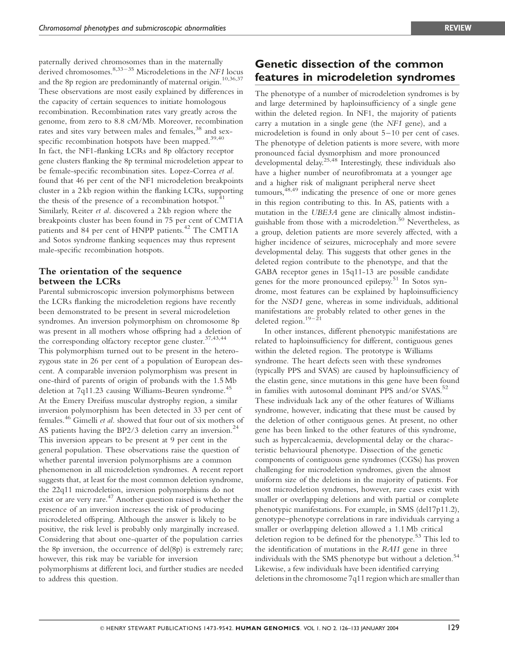Genetic dissection of the common features in microdeletion syndromes

paternally derived chromosomes than in the maternally derived chromosomes.<sup>8,33–35</sup> Microdeletions in the NF1 locus and the 8p region are predominantly of maternal origin.<sup>10,36,37</sup> These observations are most easily explained by differences in the capacity of certain sequences to initiate homologous recombination. Recombination rates vary greatly across the genome, from zero to 8.8 cM/Mb. Moreover, recombination rates and sites vary between males and females,<sup>38</sup> and sexspecific recombination hotspots have been mapped. $39,40$ In fact, the NF1-flanking LCRs and 8p olfactory receptor gene clusters flanking the 8p terminal microdeletion appear to be female-specific recombination sites. Lopez-Correa et al. found that 46 per cent of the NF1 microdeletion breakpoints cluster in a 2 kb region within the flanking LCRs, supporting the thesis of the presence of a recombination hotspot.<sup>41</sup> Similarly, Reiter et al. discovered a 2 kb region where the breakpoints cluster has been found in 75 per cent of CMT1A patients and 84 per cent of HNPP patients.<sup>42</sup> The CMT1A and Sotos syndrome flanking sequences may thus represent male-specific recombination hotspots.

#### The orientation of the sequence between the LCRs

Parental submicroscopic inversion polymorphisms between the LCRs flanking the microdeletion regions have recently been demonstrated to be present in several microdeletion syndromes. An inversion polymorphism on chromosome 8p was present in all mothers whose offspring had a deletion of the corresponding olfactory receptor gene cluster.<sup>37,43,44</sup> This polymorphism turned out to be present in the heterozygous state in 26 per cent of a population of European descent. A comparable inversion polymorphism was present in one-third of parents of origin of probands with the 1.5 Mb deletion at 7q11.23 causing Williams-Beuren syndrome.<sup>45</sup> At the Emery Dreifuss muscular dystrophy region, a similar inversion polymorphism has been detected in 33 per cent of females.<sup>46</sup> Gimelli et al. showed that four out of six mothers of AS patients having the BP2/3 deletion carry an inversion.<sup>24</sup> This inversion appears to be present at 9 per cent in the general population. These observations raise the question of whether parental inversion polymorphisms are a common phenomenon in all microdeletion syndromes. A recent report suggests that, at least for the most common deletion syndrome, the 22q11 microdeletion, inversion polymorphisms do not exist or are very rare.<sup>47</sup> Another question raised is whether the presence of an inversion increases the risk of producing microdeleted offspring. Although the answer is likely to be positive, the risk level is probably only marginally increased. Considering that about one-quarter of the population carries the 8p inversion, the occurrence of del(8p) is extremely rare; however, this risk may be variable for inversion polymorphisms at different loci, and further studies are needed to address this question.

The phenotype of a number of microdeletion syndromes is by and large determined by haploinsufficiency of a single gene within the deleted region. In NF1, the majority of patients carry a mutation in a single gene (the NF1 gene), and a microdeletion is found in only about 5–10 per cent of cases. The phenotype of deletion patients is more severe, with more pronounced facial dysmorphism and more pronounced developmental delay.25,48 Interestingly, these individuals also have a higher number of neurofibromata at a younger age and a higher risk of malignant peripheral nerve sheet tumours, $48,49$  indicating the presence of one or more genes in this region contributing to this. In AS, patients with a mutation in the UBE3A gene are clinically almost indistinguishable from those with a microdeletion.<sup>50</sup> Nevertheless. as a group, deletion patients are more severely affected, with a higher incidence of seizures, microcephaly and more severe developmental delay. This suggests that other genes in the deleted region contribute to the phenotype, and that the GABA receptor genes in 15q11-13 are possible candidate genes for the more pronounced epilepsy.<sup>51</sup> In Sotos syndrome, most features can be explained by haploinsufficiency for the NSD1 gene, whereas in some individuals, additional manifestations are probably related to other genes in the deleted region.<sup>19–21</sup>

In other instances, different phenotypic manifestations are related to haploinsufficiency for different, contiguous genes within the deleted region. The prototype is Williams syndrome. The heart defects seen with these syndromes (typically PPS and SVAS) are caused by haploinsufficiency of the elastin gene, since mutations in this gene have been found in families with autosomal dominant PPS and/or SVAS.<sup>52</sup> These individuals lack any of the other features of Williams syndrome, however, indicating that these must be caused by the deletion of other contiguous genes. At present, no other gene has been linked to the other features of this syndrome, such as hypercalcaemia, developmental delay or the characteristic behavioural phenotype. Dissection of the genetic components of contiguous gene syndromes (CGSs) has proven challenging for microdeletion syndromes, given the almost uniform size of the deletions in the majority of patients. For most microdeletion syndromes, however, rare cases exist with smaller or overlapping deletions and with partial or complete phenotypic manifestations. For example, in SMS (del17p11.2), genotype–phenotype correlations in rare individuals carrying a smaller or overlapping deletion allowed a 1.1 Mb critical deletion region to be defined for the phenotype.<sup>53</sup> This led to the identification of mutations in the RAI1 gene in three individuals with the SMS phenotype but without a deletion.<sup>54</sup> Likewise, a few individuals have been identified carrying deletions in the chromosome 7q11 region which are smaller than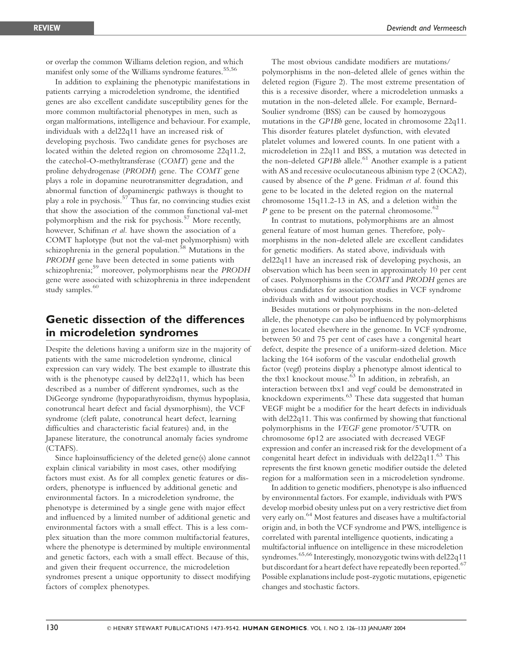or overlap the common Williams deletion region, and which manifest only some of the Williams syndrome features.<sup>55,56</sup>

In addition to explaining the phenotypic manifestations in patients carrying a microdeletion syndrome, the identified genes are also excellent candidate susceptibility genes for the more common multifactorial phenotypes in men, such as organ malformations, intelligence and behaviour. For example, individuals with a del22q11 have an increased risk of developing psychosis. Two candidate genes for psychoses are located within the deleted region on chromosome 22q11.2, the catechol-O-methyltransferase (COMT) gene and the proline dehydrogenase (PRODH) gene. The COMT gene plays a role in dopamine neurotransmitter degradation, and abnormal function of dopaminergic pathways is thought to play a role in psychosis.<sup>57</sup> Thus far, no convincing studies exist that show the association of the common functional val-met polymorphism and the risk for psychosis.<sup>57</sup> More recently, however, Schifman et al. have shown the association of a COMT haplotype (but not the val-met polymorphism) with schizophrenia in the general population.<sup>58</sup> Mutations in the PRODH gene have been detected in some patients with schizophrenia;<sup>59</sup> moreover, polymorphisms near the PRODH gene were associated with schizophrenia in three independent study samples.<sup>60</sup>

## Genetic dissection of the differences in microdeletion syndromes

Despite the deletions having a uniform size in the majority of patients with the same microdeletion syndrome, clinical expression can vary widely. The best example to illustrate this with is the phenotype caused by del22q11, which has been described as a number of different syndromes, such as the DiGeorge syndrome (hypoparathyroidism, thymus hypoplasia, conotruncal heart defect and facial dysmorphism), the VCF syndrome (cleft palate, conotruncal heart defect, learning difficulties and characteristic facial features) and, in the Japanese literature, the conotruncal anomaly facies syndrome (CTAFS).

Since haploinsufficiency of the deleted gene(s) alone cannot explain clinical variability in most cases, other modifying factors must exist. As for all complex genetic features or disorders, phenotype is influenced by additional genetic and environmental factors. In a microdeletion syndrome, the phenotype is determined by a single gene with major effect and influenced by a limited number of additional genetic and environmental factors with a small effect. This is a less complex situation than the more common multifactorial features, where the phenotype is determined by multiple environmental and genetic factors, each with a small effect. Because of this, and given their frequent occurrence, the microdeletion syndromes present a unique opportunity to dissect modifying factors of complex phenotypes.

The most obvious candidate modifiers are mutations/ polymorphisms in the non-deleted allele of genes within the deleted region (Figure 2). The most extreme presentation of this is a recessive disorder, where a microdeletion unmasks a mutation in the non-deleted allele. For example, Bernard-Soulier syndrome (BSS) can be caused by homozygous mutations in the GP1Bb gene, located in chromosome 22q11. This disorder features platelet dysfunction, with elevated platelet volumes and lowered counts. In one patient with a microdeletion in 22q11 and BSS, a mutation was detected in the non-deleted  $GPIBb$  allele.<sup>61</sup> Another example is a patient with AS and recessive oculocutaneous albinism type 2 (OCA2), caused by absence of the  $P$  gene. Fridman et al. found this gene to be located in the deleted region on the maternal chromosome 15q11.2-13 in AS, and a deletion within the P gene to be present on the paternal chromosome. $^{62}$ 

In contrast to mutations, polymorphisms are an almost general feature of most human genes. Therefore, polymorphisms in the non-deleted allele are excellent candidates for genetic modifiers. As stated above, individuals with del22q11 have an increased risk of developing psychosis, an observation which has been seen in approximately 10 per cent of cases. Polymorphisms in the COMT and PRODH genes are obvious candidates for association studies in VCF syndrome individuals with and without psychosis.

Besides mutations or polymorphisms in the non-deleted allele, the phenotype can also be influenced by polymorphisms in genes located elsewhere in the genome. In VCF syndrome, between 50 and 75 per cent of cases have a congenital heart defect, despite the presence of a uniform-sized deletion. Mice lacking the 164 isoform of the vascular endothelial growth factor (vegf) proteins display a phenotype almost identical to the tbx1 knockout mouse.<sup>63</sup> In addition, in zebrafish, an interaction between tbx1 and vegf could be demonstrated in knockdown experiments.<sup>63</sup> These data suggested that human VEGF might be a modifier for the heart defects in individuals with del22q11. This was confirmed by showing that functional polymorphisms in the VEGF gene promotor/5'UTR on chromosome 6p12 are associated with decreased VEGF expression and confer an increased risk for the development of a congenital heart defect in individuals with del $22q11$ <sup>63</sup> This represents the first known genetic modifier outside the deleted region for a malformation seen in a microdeletion syndrome.

In addition to genetic modifiers, phenotype is also influenced by environmental factors. For example, individuals with PWS develop morbid obesity unless put on a very restrictive diet from very early on.<sup>64</sup> Most features and diseases have a multifactorial origin and, in both the VCF syndrome and PWS, intelligence is correlated with parental intelligence quotients, indicating a multifactorial influence on intelligence in these microdeletion syndromes.<sup>65,66</sup> Interestingly, monozygotic twins with del22q11 but discordant for a heart defect have repeatedly been reported.<sup>67</sup> Possible explanations include post-zygotic mutations, epigenetic changes and stochastic factors.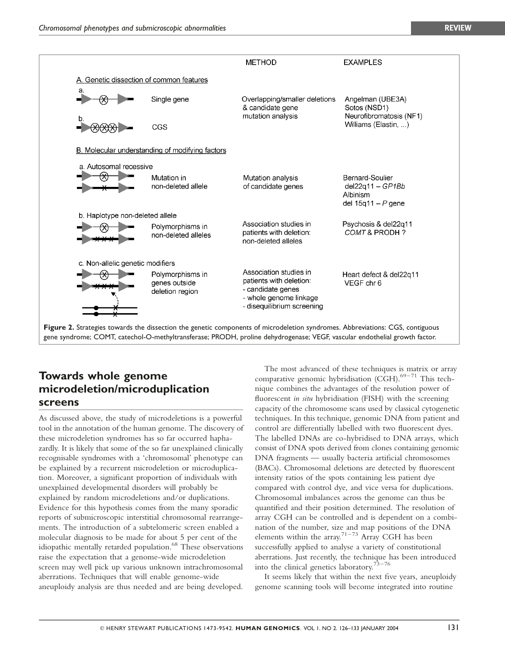

# Towards whole genome microdeletion/microduplication screens

As discussed above, the study of microdeletions is a powerful tool in the annotation of the human genome. The discovery of these microdeletion syndromes has so far occurred haphazardly. It is likely that some of the so far unexplained clinically recognisable syndromes with a 'chromosomal' phenotype can be explained by a recurrent microdeletion or microduplication. Moreover, a significant proportion of individuals with unexplained developmental disorders will probably be explained by random microdeletions and/or duplications. Evidence for this hypothesis comes from the many sporadic reports of submicroscopic interstitial chromosomal rearrangements. The introduction of a subtelomeric screen enabled a molecular diagnosis to be made for about 5 per cent of the idiopathic mentally retarded population.<sup>68</sup> These observations raise the expectation that a genome-wide microdeletion screen may well pick up various unknown intrachromosomal aberrations. Techniques that will enable genome-wide aneuploidy analysis are thus needed and are being developed.

The most advanced of these techniques is matrix or array comparative genomic hybridisation (CGH). $^{69-71}$  This technique combines the advantages of the resolution power of fluorescent *in situ* hybridisation (FISH) with the screening capacity of the chromosome scans used by classical cytogenetic techniques. In this technique, genomic DNA from patient and control are differentially labelled with two fluorescent dyes. The labelled DNAs are co-hybridised to DNA arrays, which consist of DNA spots derived from clones containing genomic DNA fragments — usually bacteria artificial chromosomes (BACs). Chromosomal deletions are detected by fluorescent intensity ratios of the spots containing less patient dye compared with control dye, and vice versa for duplications. Chromosomal imbalances across the genome can thus be quantified and their position determined. The resolution of array CGH can be controlled and is dependent on a combination of the number, size and map positions of the DNA elements within the array.<sup>71–73</sup> Array CGH has been successfully applied to analyse a variety of constitutional aberrations. Just recently, the technique has been introduced into the clinical genetics laboratory.<sup>73-76</sup>

It seems likely that within the next five years, aneuploidy genome scanning tools will become integrated into routine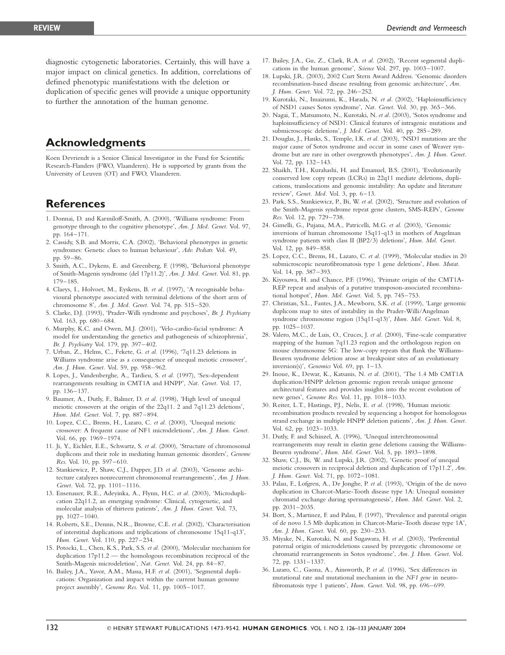diagnostic cytogenetic laboratories. Certainly, this will have a major impact on clinical genetics. In addition, correlations of defined phenotypic manifestations with the deletion or duplication of specific genes will provide a unique opportunity to further the annotation of the human genome.

## Acknowledgments

Koen Devriendt is a Senior Clinical Investigator in the Fund for Scientific Research-Flanders (FWO, Vlaanderen). He is supported by grants from the University of Leuven (OT) and FWO, Vlaanderen.

## **References**

- 1. Donnai, D. and Karmiloff-Smith, A. (2000), 'Williams syndrome: From genotype through to the cognitive phenotype', Am. J. Med. Genet. Vol. 97, pp. 164–171.
- 2. Cassidy, S.B. and Morris, C.A. (2002), 'Behavioral phenotypes in genetic syndromes: Genetic clues to human behaviour', Adv. Pediatr. Vol. 49, pp. 59–86.
- 3. Smith, A.C., Dykens, E. and Greenberg, F. (1998), 'Behavioral phenotype of Smith-Magenis syndrome (del 17p11.2)', Am. J. Med. Genet. Vol. 81, pp. 179–185.
- 4. Claeys, I., Holvoet, M., Eyskens, B. et al. (1997), 'A recognisable behavioural phenotype associated with terminal deletions of the short arm of chromosome 8', Am. J. Med. Genet. Vol. 74, pp. 515–520.
- 5. Clarke, D.J. (1993), 'Prader-Willi syndrome and psychoses', Br. J. Psychiatry Vol. 163, pp. 680–684.
- 6. Murphy, K.C. and Owen, M.J. (2001), 'Velo-cardio-facial syndrome: A model for understanding the genetics and pathogenesis of schizophrenia', Br. J. Psychiatry Vol. 179, pp. 397–402.
- 7. Urban, Z., Helms, C., Fekete, G. et al. (1996), '7q11.23 deletions in Williams syndrome arise as a consequence of unequal meiotic crossover', Am. J. Hum. Genet. Vol. 59, pp. 958–962.
- 8. Lopes, J., Vandenberghe, A., Tardieu, S. et al. (1997), 'Sex-dependent rearrangements resulting in CMT1A and HNPP', Nat. Genet. Vol. 17, pp. 136–137.
- 9. Baumer, A., Dutly, F., Balmer, D. et al. (1998), 'High level of unequal meiotic crossovers at the origin of the 22q11. 2 and 7q11.23 deletions', Hum. Mol. Genet. Vol. 7, pp. 887–894.
- 10. Lopez, C.C., Brems, H., Lazaro, C. et al. (2000), 'Unequal meiotic crossover: A frequent cause of NF1 microdeletions', Am. J. Hum. Genet. Vol. 66, pp. 1969–1974.
- 11. Ji, Y., Eichler, E.E., Schwartz, S. et al. (2000), 'Structure of chromosomal duplicons and their role in mediating human genomic disorders', Genome Res. Vol. 10, pp. 597–610.
- 12. Stankiewicz, P., Shaw, C.J., Dapper, J.D. et al. (2003), 'Genome architecture catalyzes nonrecurrent chromosomal rearrangements', Am. J. Hum. Genet. Vol. 72, pp. 1101–1116.
- 13. Ensenauer, R.E., Adeyinka, A., Flynn, H.C. et al. (2003), 'Microduplication 22q11.2, an emerging syndrome: Clinical, cytogenetic, and molecular analysis of thirteen patients', Am. J. Hum. Genet. Vol. 73, pp. 1027–1040.
- 14. Roberts, S.E., Dennis, N.R., Browne, C.E. et al. (2002), 'Characterisation of interstitial duplications and triplications of chromosome 15q11-q13', Hum. Genet. Vol. 110, pp. 227–234.
- 15. Potocki, L., Chen, K.S., Park, S.S. et al. (2000), 'Molecular mechanism for duplication 17p11.2 — the homologous recombination reciprocal of the Smith-Magenis microdeletion', Nat. Genet. Vol. 24, pp. 84–87.
- 16. Bailey, J.A., Yavor, A.M., Massa, H.F. et al. (2001), 'Segmental duplications: Organization and impact within the current human genome project assembly', Genome Res. Vol. 11, pp. 1005–1017.
- 17. Bailey, J.A., Gu, Z., Clark, R.A. et al. (2002), 'Recent segmental duplications in the human genome', Science Vol. 297, pp. 1003–1007.
- 18. Lupski, J.R. (2003), 2002 Curt Stern Award Address. 'Genomic disorders recombination-based disease resulting from genomic architecture', Am. J. Hum. Genet. Vol. 72, pp. 246–252.
- 19. Kurotaki, N., Imaizumi, K., Harada, N. et al. (2002), 'Haploinsufficiency of NSD1 causes Sotos syndrome', Nat. Genet. Vol. 30, pp. 365–366.
- 20. Nagai, T., Matsumoto, N., Kurotaki, N. et al. (2003), 'Sotos syndrome and haploinsufficiency of NSD1: Clinical features of intragenic mutations and submicroscopic deletions', J. Med. Genet. Vol. 40, pp. 285–289.
- 21. Douglas, J., Hanks, S., Temple, I.K. et al. (2003), 'NSD1 mutations are the major cause of Sotos syndrome and occur in some cases of Weaver syndrome but are rare in other overgrowth phenotypes', Am. J. Hum. Genet. Vol. 72, pp. 132–143.
- 22. Shaikh, T.H., Kurahashi, H. and Emanuel, B.S. (2001), 'Evolutionarily conserved low copy repeats (LCRs) in 22q11 mediate deletions, duplications, translocations and genomic instability: An update and literature review', Genet. Med. Vol. 3, pp. 6–13.
- 23. Park, S.S., Stankiewicz, P., Bi, W. et al. (2002), 'Structure and evolution of the Smith-Magenis syndrome repeat gene clusters, SMS-REPs', Genome Res. Vol. 12, pp. 729–738.
- 24. Gimelli, G., Pujana, M.A., Patricelli, M.G. et al. (2003), 'Genomic inversions of human chromosome 15q11-q13 in mothers of Angelman syndrome patients with class II (BP2/3) deletions', Hum. Mol. Genet. Vol. 12, pp. 849–858.
- 25. Lopez, C.C., Brems, H., Lazaro, C. et al. (1999), 'Molecular studies in 20 submicroscopic neurofibromatosis type 1 gene deletions', Hum. Mutat. Vol. 14, pp. 387–393.
- 26. Kiyosawa, H. and Chance, P.F. (1996), 'Primate origin of the CMT1A-REP repeat and analysis of a putative transposon-associated recombinational hotspot', Hum. Mol. Genet. Vol. 5, pp. 745-753.
- 27. Christian, S.L., Fantes, J.A., Mewborn, S.K. et al. (1999), 'Large genomic duplicons map to sites of instability in the Prader-Willi/Angelman syndrome chromosome region (15q11-q13)', Hum. Mol. Genet. Vol. 8, pp. 1025–1037.
- 28. Valero, M.C., de Luis, O., Cruces, J. et al. (2000), 'Fine-scale comparative mapping of the human 7q11.23 region and the orthologous region on mouse chromosome 5G: The low-copy repeats that flank the Williams-Beuren syndrome deletion arose at breakpoint sites of an evolutionary inversion(s)', Genomics Vol. 69, pp. 1–13.
- 29. Inoue, K., Dewar, K., Katsanis, N. et al. (2001), 'The 1.4 Mb CMT1A duplication/HNPP deletion genomic region reveals unique genome architectural features and provides insights into the recent evolution of new genes', Genome Res. Vol. 11, pp. 1018–1033.
- 30. Reiter, L.T., Hastings, P.J., Nelis, E. et al. (1998), 'Human meiotic recombination products revealed by sequencing a hotspot for homologous strand exchange in multiple HNPP deletion patients', Am. J. Hum. Genet. Vol. 62, pp. 1023–1033.
- 31. Dutly, F. and Schinzel, A. (1996), 'Unequal interchromosomal rearrangements may result in elastin gene deletions causing the Williams-Beuren syndrome', Hum. Mol. Genet. Vol. 5, pp. 1893–1898.
- 32. Shaw, C.J., Bi, W. and Lupski, J.R. (2002), 'Genetic proof of unequal meiotic crossovers in reciprocal deletion and duplication of 17p11.2', Am. J. Hum. Genet. Vol. 71, pp. 1072–1081.
- 33. Palau, F., Lofgren, A., De Jonghe, P. et al. (1993), 'Origin of the de novo duplication in Charcot-Marie-Tooth disease type 1A: Unequal nonsister chromatid exchange during spermatogenesis', Hum. Mol. Genet. Vol. 2, pp. 2031–2035.
- 34. Bort, S., Martinez, F. and Palau, F. (1997), 'Prevalence and parental origin of de novo 1.5 Mb duplication in Charcot-Marie-Tooth disease type 1A', Am. J. Hum. Genet. Vol. 60, pp. 230–233.
- 35. Miyake, N., Kurotaki, N. and Sugawara, H. et al. (2003), 'Preferential paternal origin of microdeletions caused by prezygotic chromosome or chromatid rearrangements in Sotos syndrome', Am. J. Hum. Genet. Vol. 72, pp. 1331–1337.
- 36. Lazaro, C., Gaona, A., Ainsworth, P. et al. (1996), 'Sex differences in mutational rate and mutational mechanism in the NF1 gene in neurofibromatosis type 1 patients', Hum. Genet. Vol. 98, pp. 696–699.